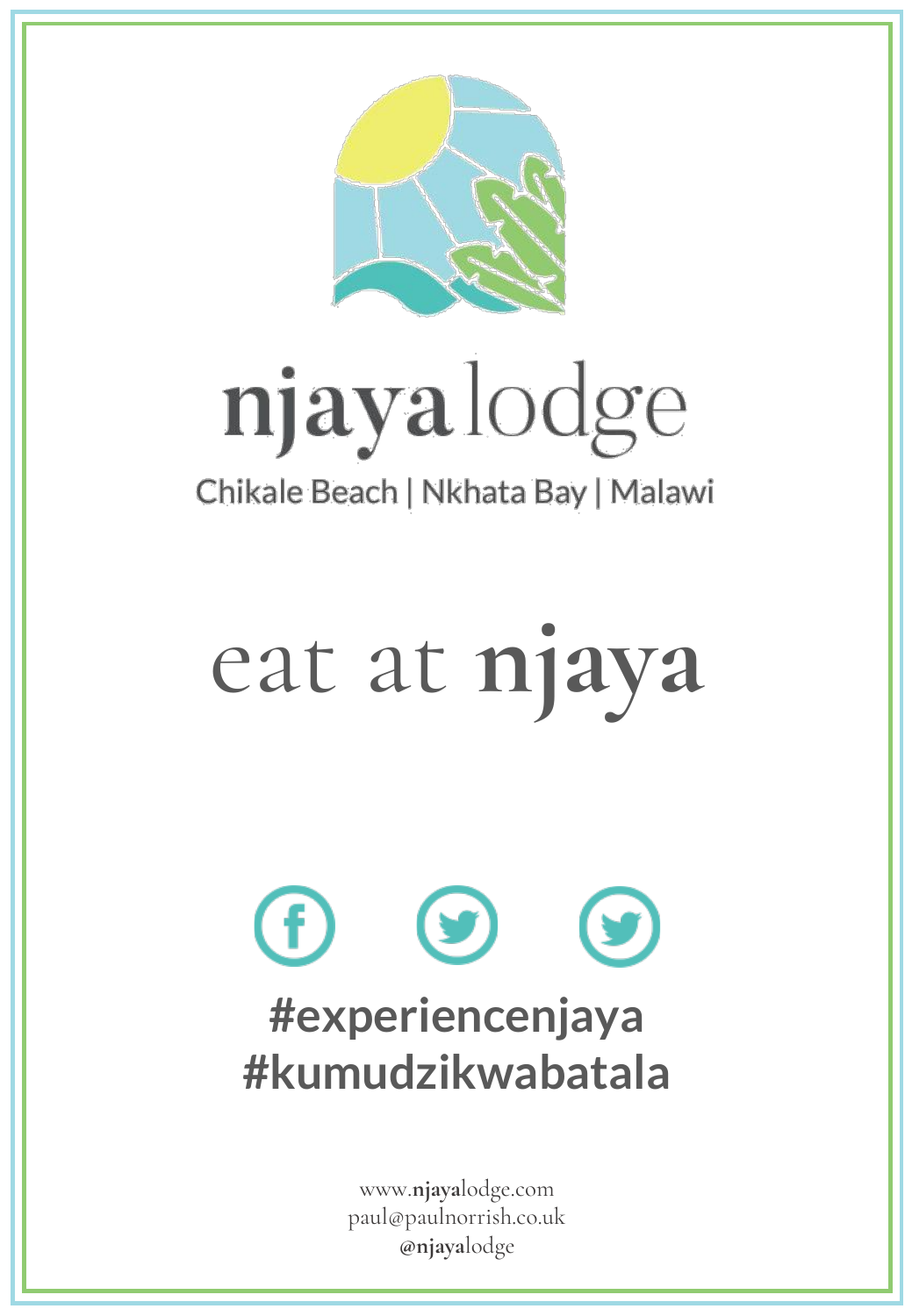

# njayalodge

## Chikale Beach | Nkhata Bay | Malawi

# eat at **njaya**

# **y #experiencenjaya #kumudzikwabatala**

www.**njaya**lodge.com paul@paulnorrish.co.uk **@njaya**lodge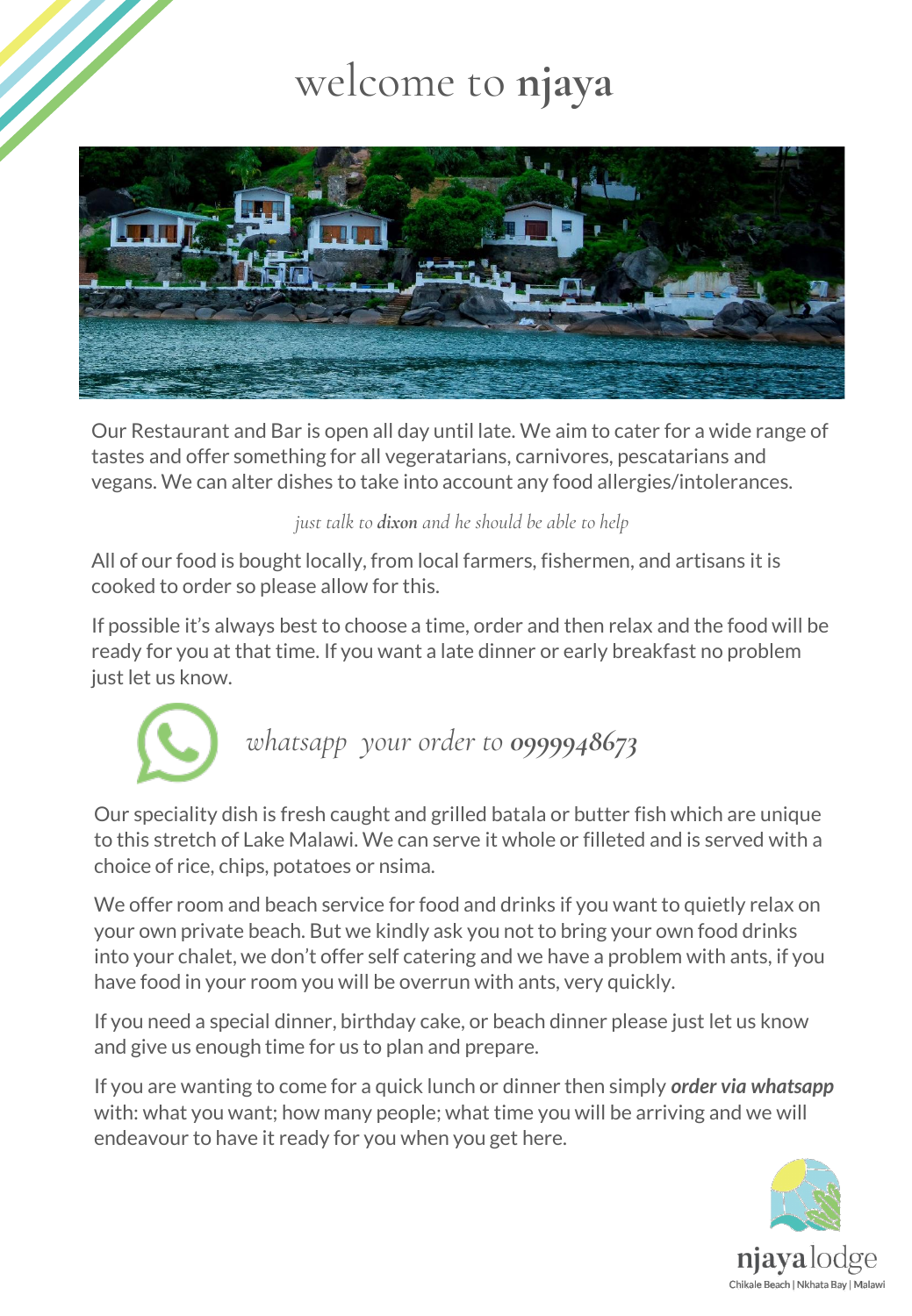## welcome to **njaya**



Our Restaurant and Bar is open all day until late. We aim to cater for a wide range of tastes and offer something for all vegeratarians, carnivores, pescatarians and vegans. We can alter dishes to take into account any food allergies/intolerances.

*just talk to dixon and he should be able to help*

All of our food is bought locally, from local farmers, fishermen, and artisans it is cooked to order so please allow for this.

If possible it's always best to choose a time, order and then relax and the food will be ready for you at that time. If you want a late dinner or early breakfast no problem just let us know.



Our speciality dish is fresh caught and grilled batala or butter fish which are unique to this stretch of Lake Malawi. We can serve it whole or filleted and is served with a choice of rice, chips, potatoes or nsima.

We offer room and beach service for food and drinks if you want to quietly relax on your own private beach. But we kindly ask you not to bring your own food drinks into your chalet, we don't offer self catering and we have a problem with ants, if you have food in your room you will be overrun with ants, very quickly.

If you need a special dinner, birthday cake, or beach dinner please just let us know and give us enough time for us to plan and prepare.

If you are wanting to come for a quick lunch or dinner then simply *order via whatsapp* with: what you want; how many people; what time you will be arriving and we will endeavour to have it ready for you when you get here.

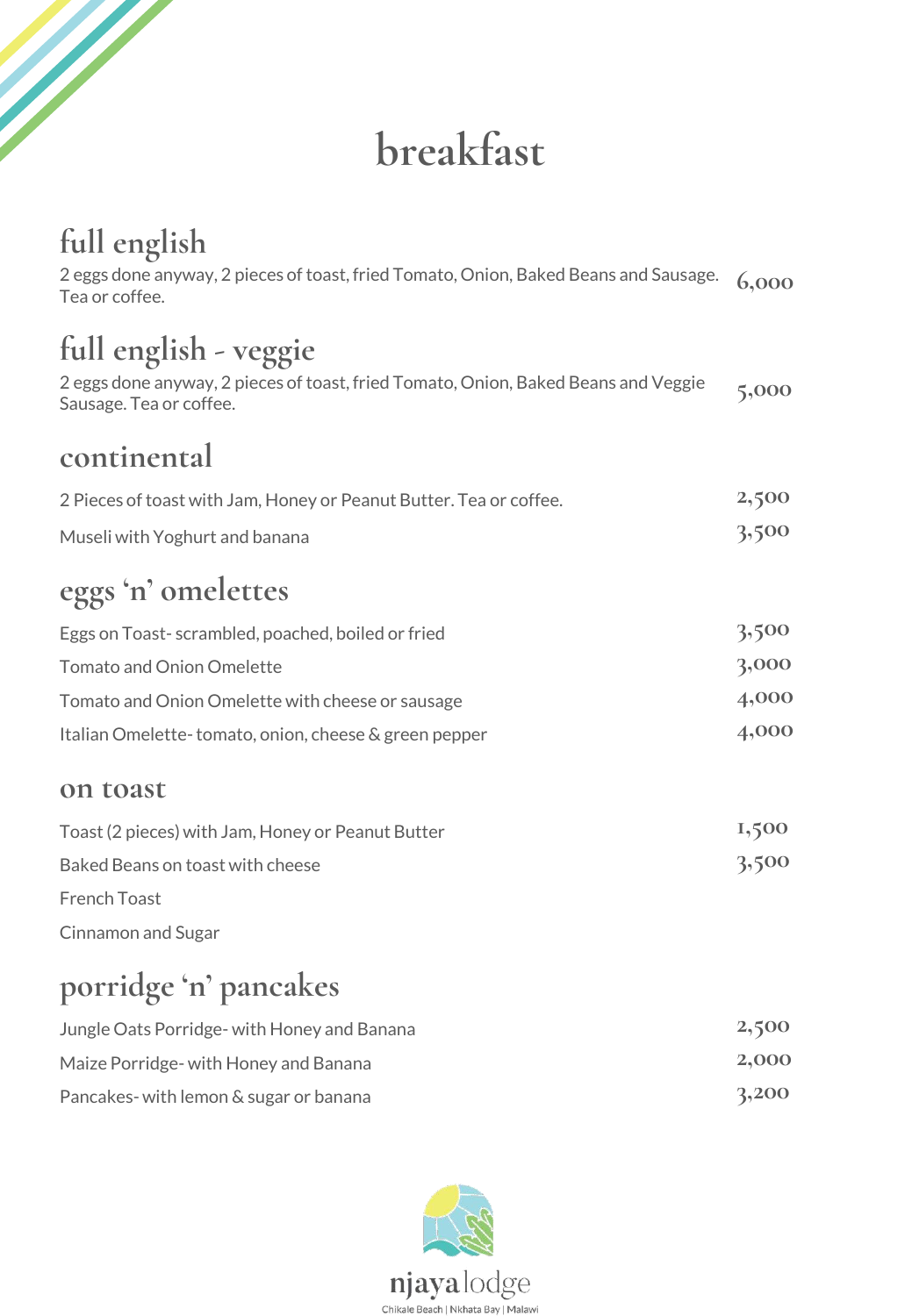## **breakfast**

## **full english**

e de la décimale de la décimale de la décimale de la décimale de la décimale de la décimale de la décimale de<br>La décimale de la décimale de la décimale de la décimale de la décimale de la décimale de la décimale de la dé

| 2 eggs done anyway, 2 pieces of toast, fried Tomato, Onion, Baked Beans and Sausage.<br>Tea or coffee.        | 6,000 |
|---------------------------------------------------------------------------------------------------------------|-------|
| full english - veggie                                                                                         |       |
| 2 eggs done anyway, 2 pieces of toast, fried Tomato, Onion, Baked Beans and Veggie<br>Sausage. Tea or coffee. | 5,000 |
| continental                                                                                                   |       |
| 2 Pieces of toast with Jam, Honey or Peanut Butter. Tea or coffee.                                            | 2,500 |
| Museli with Yoghurt and banana                                                                                | 3,500 |
| eggs 'n' omelettes                                                                                            |       |
| Eggs on Toast-scrambled, poached, boiled or fried                                                             | 3,500 |
| <b>Tomato and Onion Omelette</b>                                                                              | 3,000 |
| Tomato and Onion Omelette with cheese or sausage                                                              | 4,000 |
| Italian Omelette-tomato, onion, cheese & green pepper                                                         | 4,000 |
| on toast                                                                                                      |       |
| Toast (2 pieces) with Jam, Honey or Peanut Butter                                                             | 1,500 |
| Baked Beans on toast with cheese                                                                              | 3,500 |
| <b>French Toast</b>                                                                                           |       |
| Cinnamon and Sugar                                                                                            |       |
|                                                                                                               |       |

## **porridge 'n' pancakes**

| Jungle Oats Porridge- with Honey and Banana | 2,500 |
|---------------------------------------------|-------|
| Maize Porridge- with Honey and Banana       | 2,000 |
| Pancakes-with lemon & sugar or banana       | 3,200 |

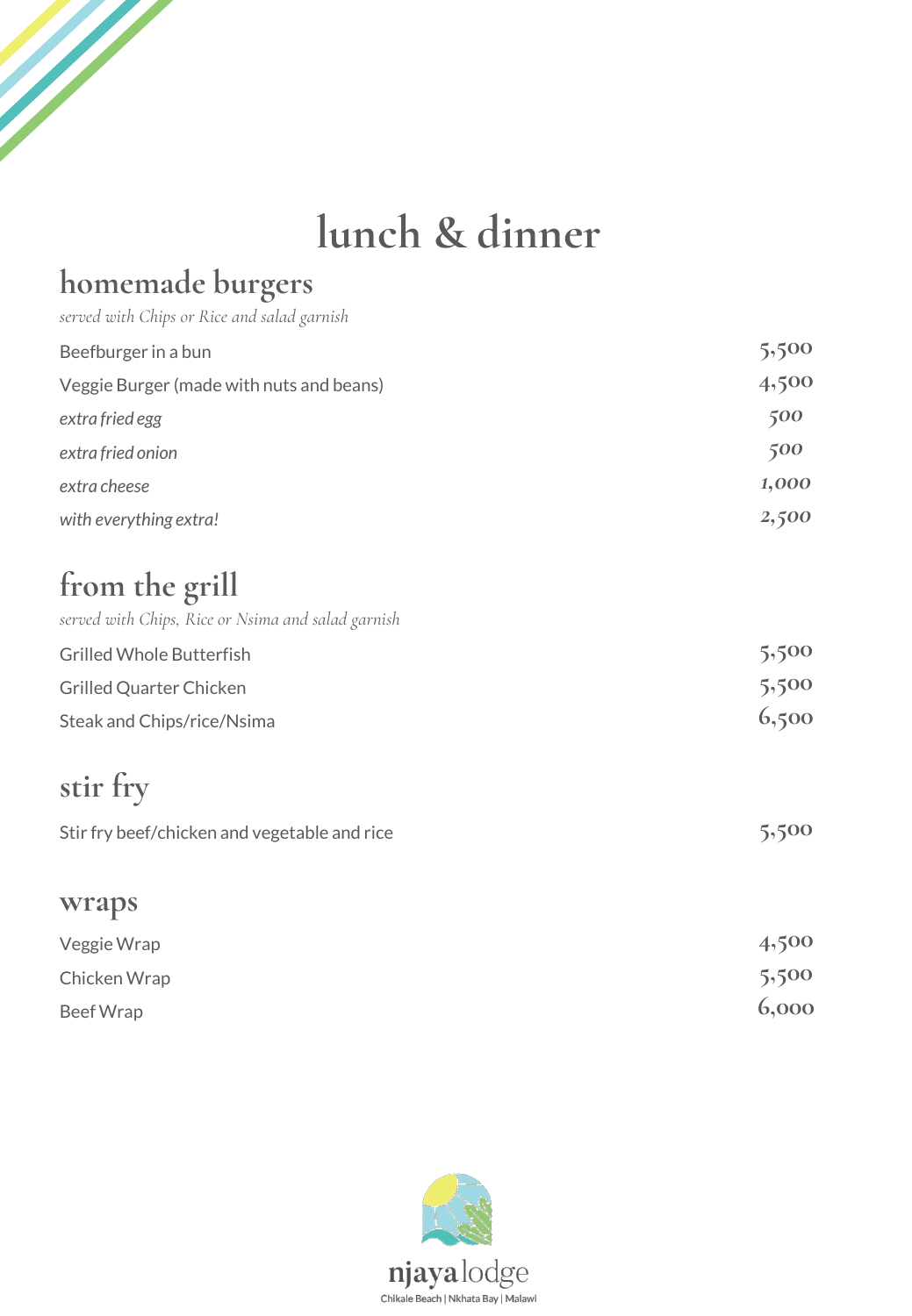## **lunch & dinner**

### **homemade burgers**

a de de la desde de la desde de la décide de la décide de la décide de la décide de la décide de la décide de<br>La décide de la décide de la décide de la décide de la décide de la décide de la décide de la décide de la déc

| served with Chips or Rice and salad garnish        |       |
|----------------------------------------------------|-------|
| Beefburger in a bun                                | 5,500 |
| Veggie Burger (made with nuts and beans)           | 4,500 |
| extra fried egg                                    | 500   |
| extra fried onion                                  | 500   |
| extra cheese                                       | 1,000 |
| with everything extra!                             | 2,500 |
| from the grill                                     |       |
| served with Chips, Rice or Nsima and salad garnish |       |
| <b>Grilled Whole Butterfish</b>                    | 5,500 |
| <b>Grilled Quarter Chicken</b>                     | 5,500 |
| Steak and Chips/rice/Nsima                         | 6,500 |
| stir fry                                           |       |
| Stir fry beef/chicken and vegetable and rice       | 5,500 |
| wraps                                              |       |
| Veggie Wrap                                        | 4,500 |
| Chicken Wrap                                       | 5,500 |
| <b>Beef Wrap</b>                                   | 6,000 |

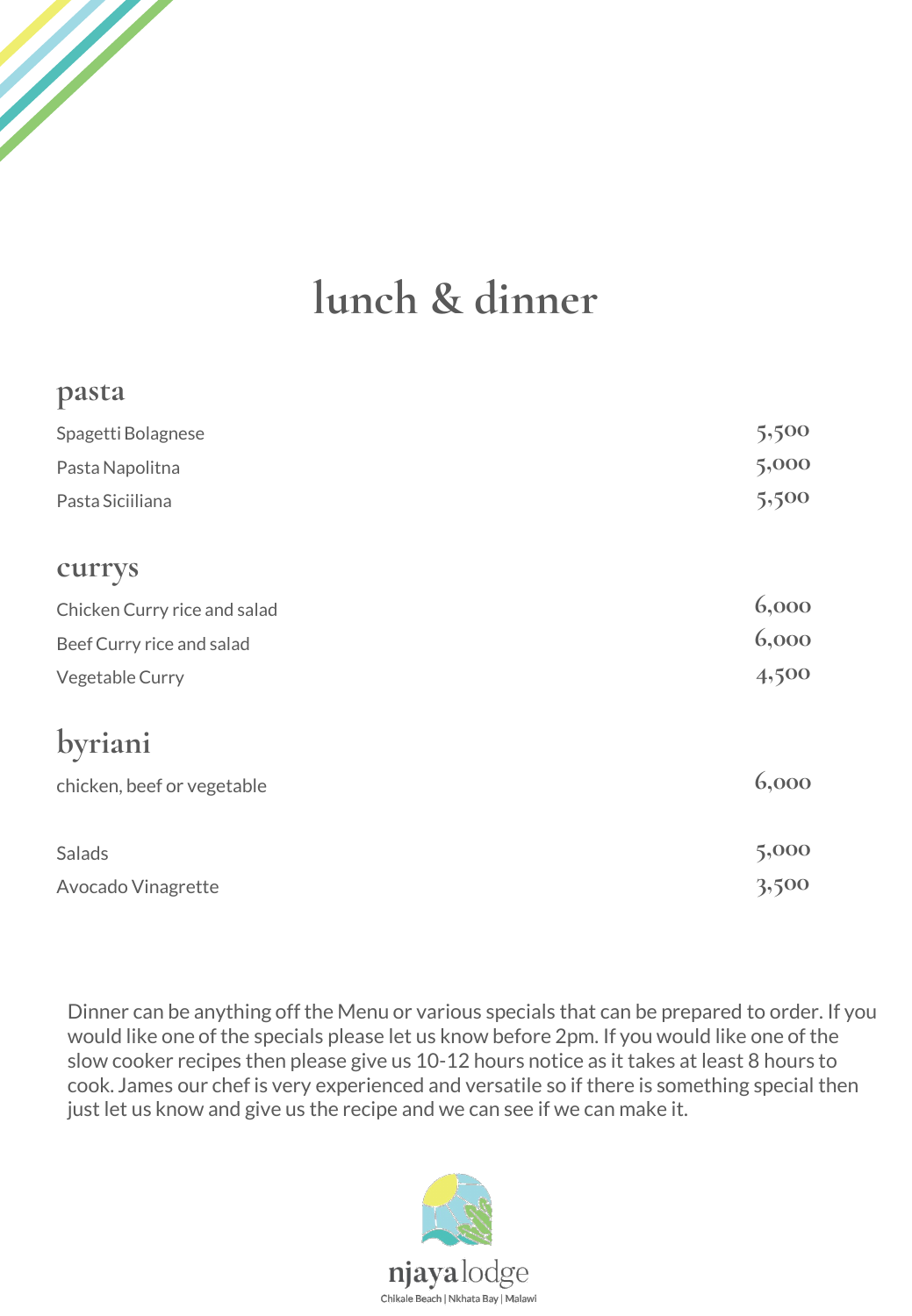

#### **pasta**

W.

| Spagetti Bolagnese           | 5,500 |
|------------------------------|-------|
| Pasta Napolitna              | 5,000 |
| Pasta Siciiliana             | 5,500 |
| currys                       |       |
| Chicken Curry rice and salad | 6,000 |
| Beef Curry rice and salad    | 6,000 |
| Vegetable Curry              | 4,500 |
| byriani                      |       |
| chicken, beef or vegetable   | 6,000 |
| Salads                       | 5,000 |
| Avocado Vinagrette           | 3,500 |

Dinner can be anything off the Menu or various specials that can be prepared to order. If you would like one of the specials please let us know before 2pm. If you would like one of the slow cooker recipes then please give us 10-12 hours notice as it takes at least 8 hours to cook. James our chef is very experienced and versatile so if there is something special then just let us know and give us the recipe and we can see if we can make it.

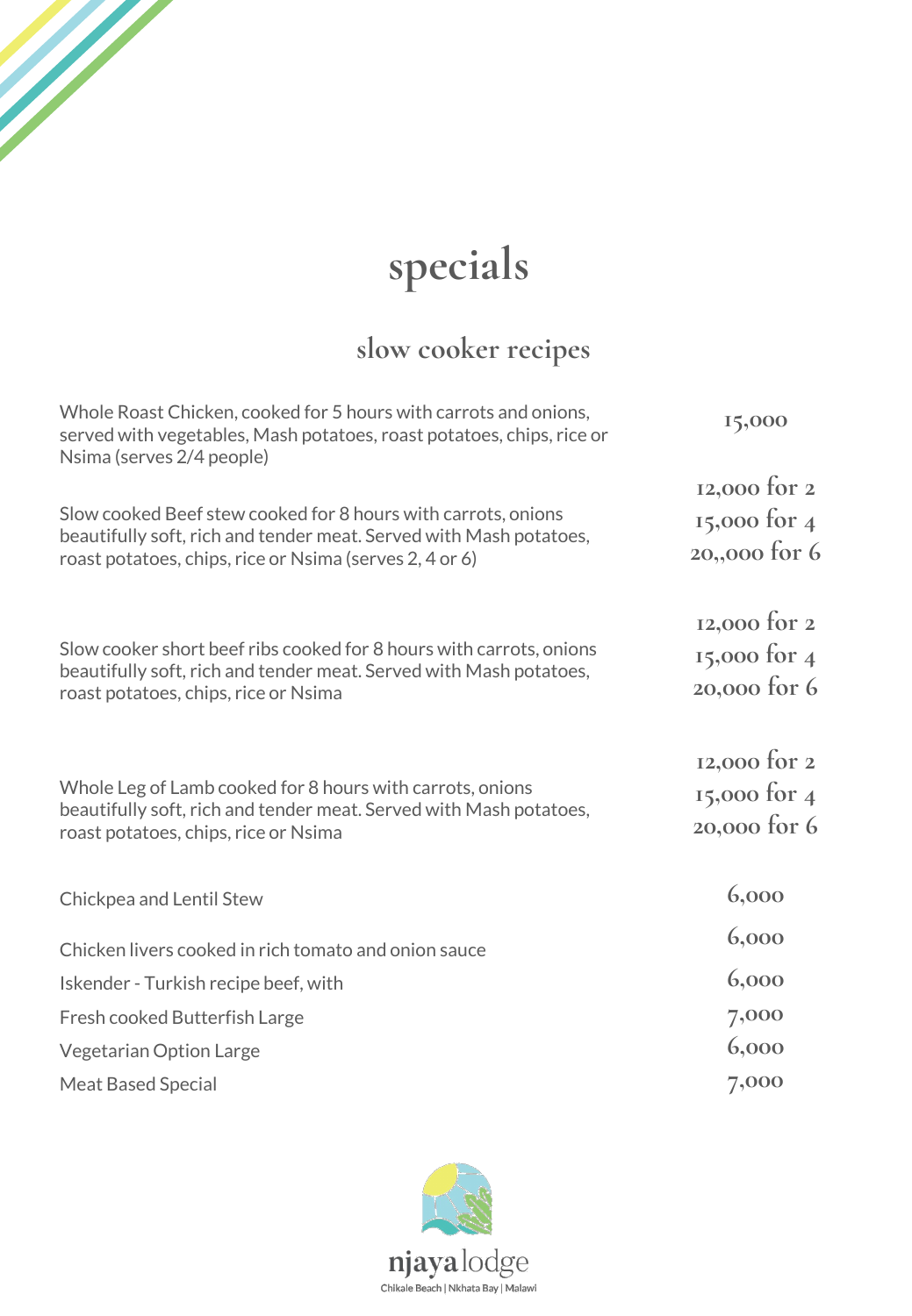# **specials**

e de la provincia de la calcada de la calcada de la calcada de la calcada de la calcada de la calcada de la ca<br>La calcada de la calcada de la calcada de la calcada de la calcada de la calcada de la calcada de la calcada d

### **slow cooker recipes**

| Whole Roast Chicken, cooked for 5 hours with carrots and onions,<br>served with vegetables, Mash potatoes, roast potatoes, chips, rice or<br>Nsima (serves 2/4 people)                         | 15,000                                        |
|------------------------------------------------------------------------------------------------------------------------------------------------------------------------------------------------|-----------------------------------------------|
| Slow cooked Beef stew cooked for 8 hours with carrots, onions<br>beautifully soft, rich and tender meat. Served with Mash potatoes,<br>roast potatoes, chips, rice or Nsima (serves 2, 4 or 6) | 12,000 for 2<br>15,000 for 4<br>20,,000 for 6 |
| Slow cooker short beef ribs cooked for 8 hours with carrots, onions<br>beautifully soft, rich and tender meat. Served with Mash potatoes,<br>roast potatoes, chips, rice or Nsima              | 12,000 for 2<br>15,000 for 4<br>20,000 for 6  |
| Whole Leg of Lamb cooked for 8 hours with carrots, onions<br>beautifully soft, rich and tender meat. Served with Mash potatoes,<br>roast potatoes, chips, rice or Nsima                        | 12,000 for 2<br>15,000 for 4<br>20,000 for 6  |
| Chickpea and Lentil Stew                                                                                                                                                                       | 6,000                                         |
| Chicken livers cooked in rich tomato and onion sauce                                                                                                                                           | 6,000                                         |
| Iskender - Turkish recipe beef, with                                                                                                                                                           | 6,000                                         |
| Fresh cooked Butterfish Large                                                                                                                                                                  | 7,000                                         |
| <b>Vegetarian Option Large</b>                                                                                                                                                                 | 6,000                                         |
| <b>Meat Based Special</b>                                                                                                                                                                      | 7,000                                         |

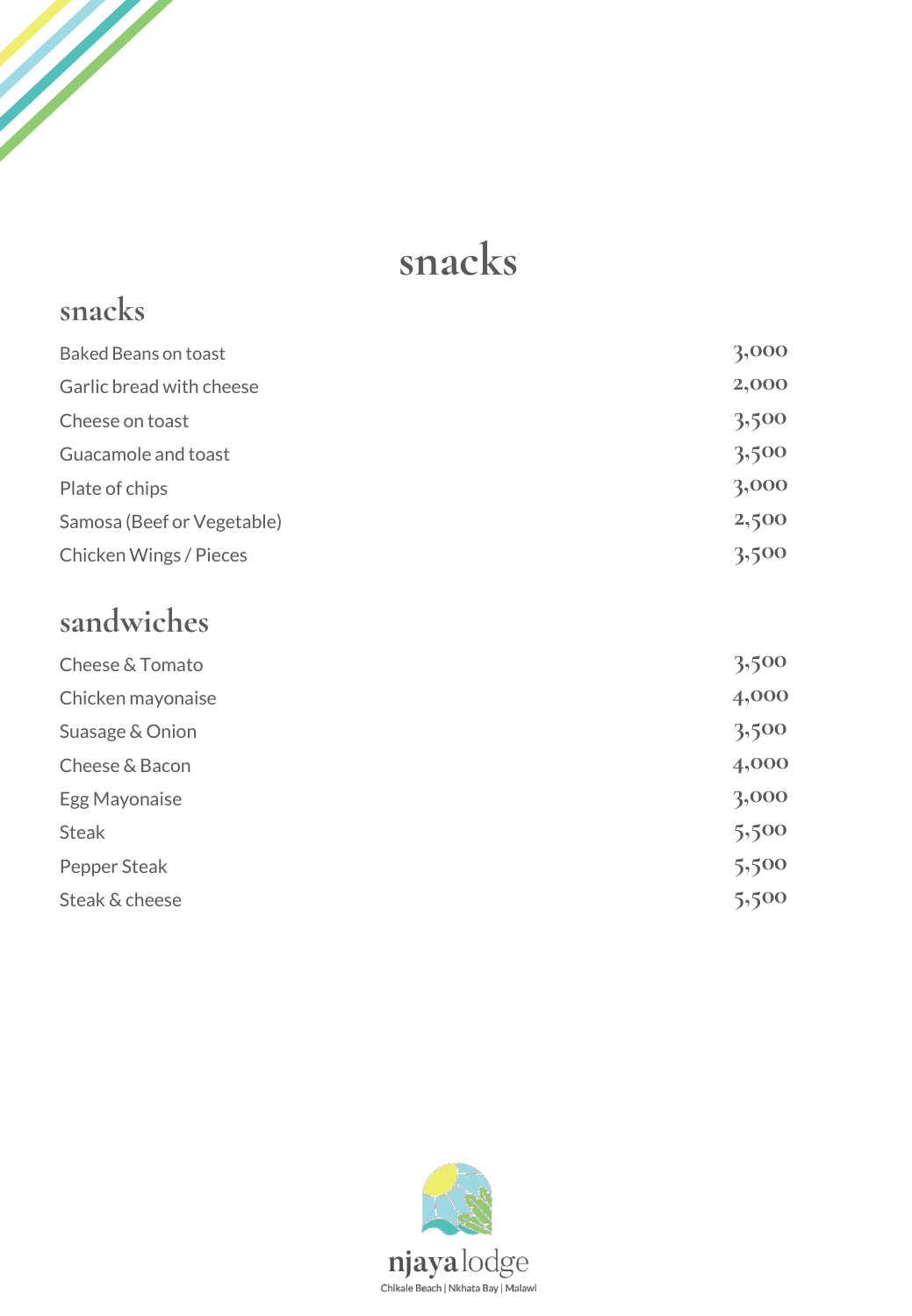## **snacks**

#### **snacks** Baked Beans on toast **3,000** Garlic bread with cheese **2,000** Cheese on toast **3,500** Guacamole and toast **3,500** Plate of chips **3**,000 Samosa (Beef or Vegetable) **2,500** Chicken Wings / Pieces **3,500**

#### **sandwiches**

**September 1988** 

| 3,500 |
|-------|
| 4,000 |
| 3,500 |
| 4,000 |
| 3,000 |
| 5,500 |
| 5,500 |
| 5,500 |
|       |

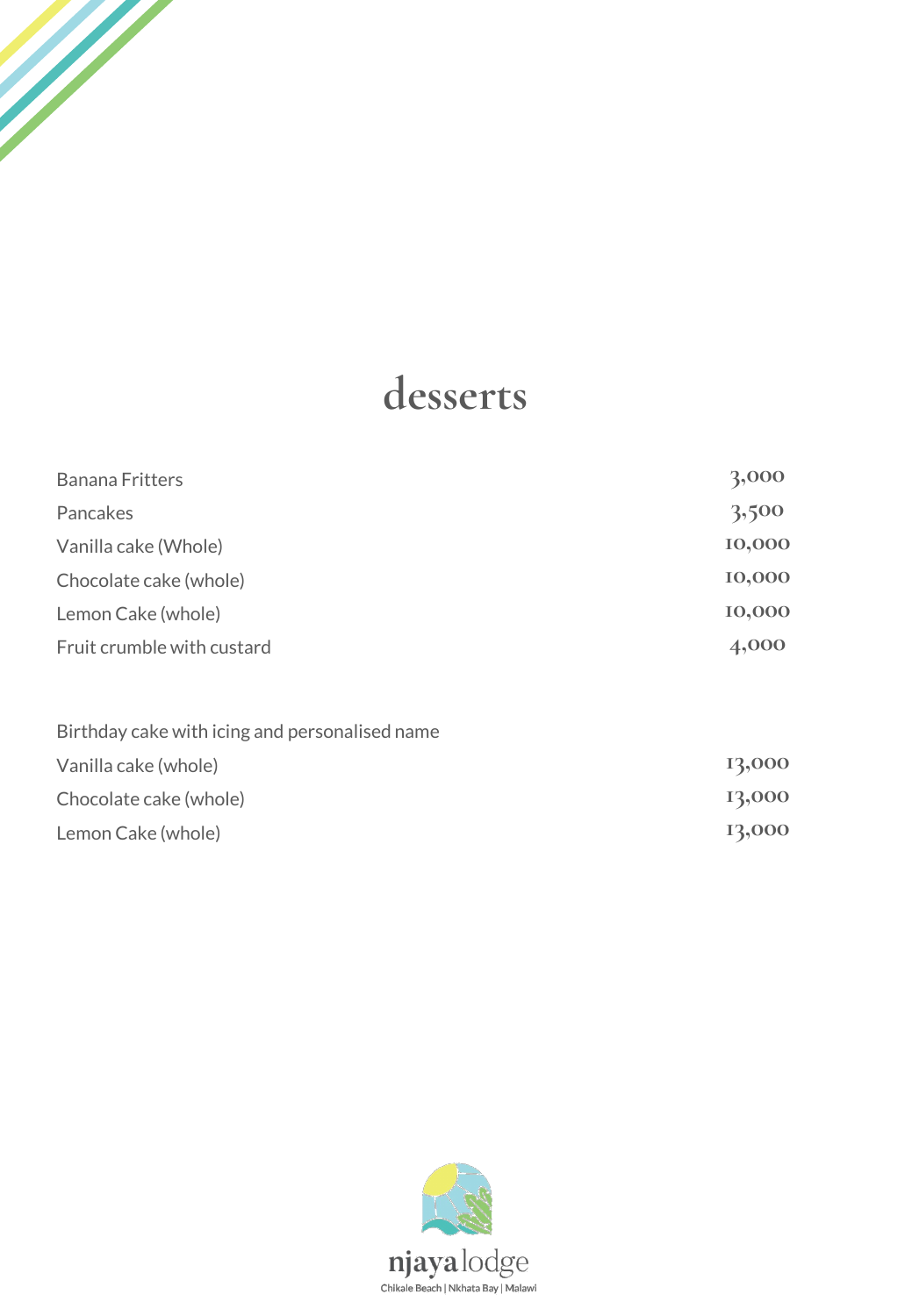## **desserts**

W.

| <b>Banana Fritters</b>                         | 3,000  |
|------------------------------------------------|--------|
| Pancakes                                       | 3,500  |
| Vanilla cake (Whole)                           | 10,000 |
| Chocolate cake (whole)                         | 10,000 |
| Lemon Cake (whole)                             | 10,000 |
| Fruit crumble with custard                     | 4,000  |
| Birthday cake with icing and personalised name |        |
| Vanilla cake (whole)                           | 13,000 |
| Chocolate cake (whole)                         | 13,000 |
| Lemon Cake (whole)                             | 13,000 |

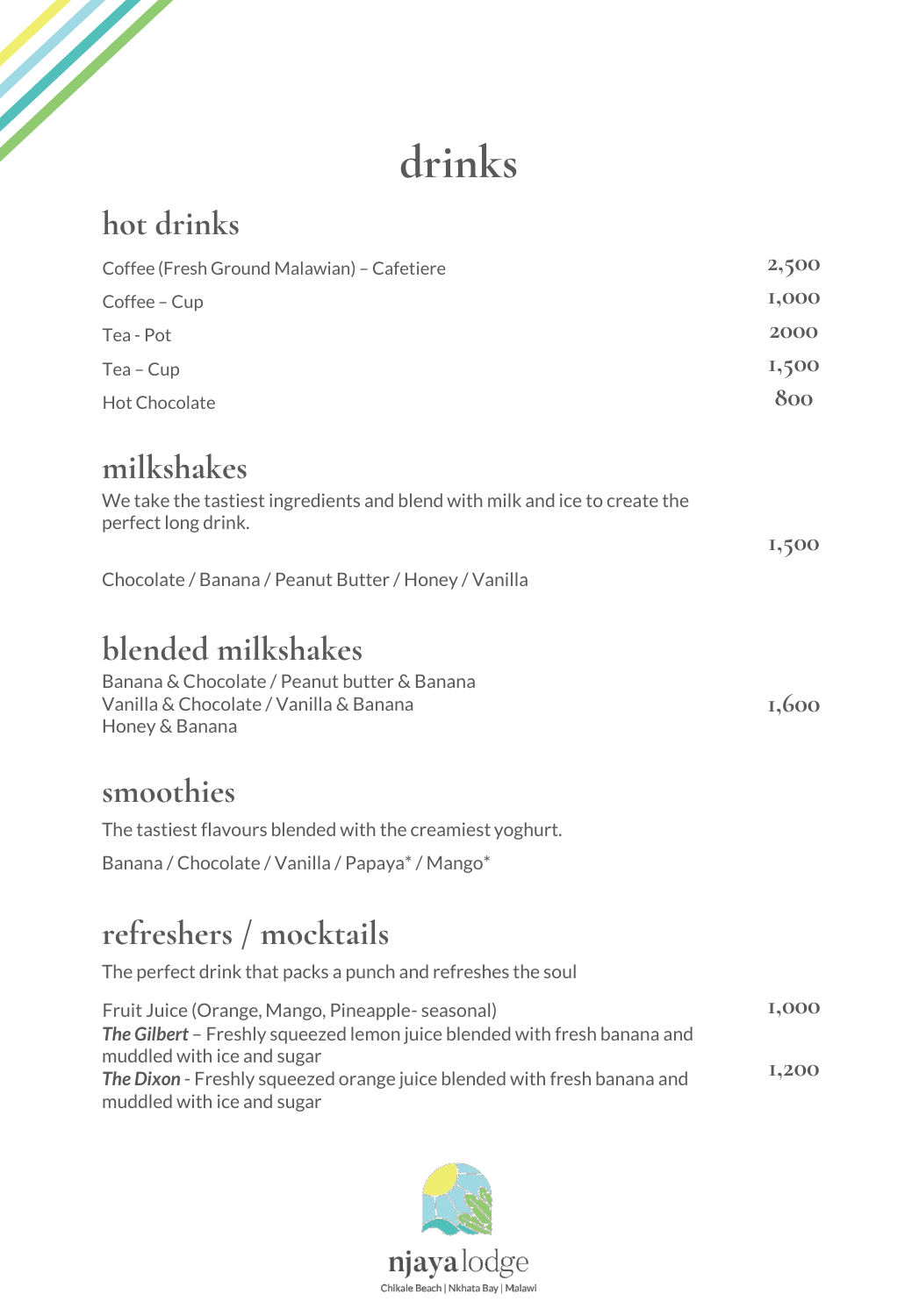## **drinks**

| hot drinks                                                                                                                   |       |
|------------------------------------------------------------------------------------------------------------------------------|-------|
| Coffee (Fresh Ground Malawian) - Cafetiere                                                                                   | 2,500 |
| Coffee - Cup                                                                                                                 | I,000 |
| Tea - Pot                                                                                                                    | 2000  |
| Tea - Cup                                                                                                                    | 1,500 |
| <b>Hot Chocolate</b>                                                                                                         | 800   |
| milkshakes                                                                                                                   |       |
| We take the tastiest ingredients and blend with milk and ice to create the<br>perfect long drink.                            | 1,500 |
| Chocolate / Banana / Peanut Butter / Honey / Vanilla                                                                         |       |
| blended milkshakes                                                                                                           |       |
| Banana & Chocolate / Peanut butter & Banana<br>Vanilla & Chocolate / Vanilla & Banana<br>Honey & Banana                      | 1,600 |
| smoothies                                                                                                                    |       |
| The tastiest flavours blended with the creamiest yoghurt.                                                                    |       |
| Banana / Chocolate / Vanilla / Papaya* / Mango*                                                                              |       |
| refreshers / mocktails                                                                                                       |       |
| The perfect drink that packs a punch and refreshes the soul                                                                  |       |
| Fruit Juice (Orange, Mango, Pineapple- seasonal)<br>The Gilbert - Freshly squeezed lemon juice blended with fresh banana and | I,000 |

muddled with ice and sugar **1,200** *The Dixon* - Freshly squeezed orange juice blended with fresh banana and muddled with ice and sugar